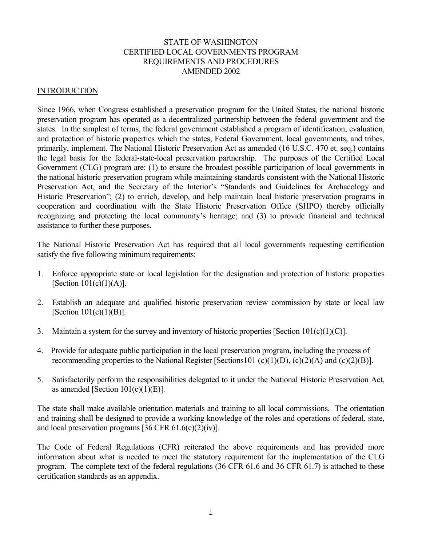## STATE OF WASHINGTON CERTIFIED LOCAL GOVERNMENTS PROGRAM REQUIREMENTS AND PROCEDURES AMENDED 2002

### **INTRODUCTION**

Since 1966, when Congress established a preservation program for the United States, the national historic preservation program has operated as a decentralized partnership between the federal government and the states. In the simplest of terms, the federal government established a program of identification, evaluation, and protection of historic properties which the states, Federal Government, local governments, and tribes, primarily, implement. The National Historic Preservation Act as amended (16 U.S.C. 470 et. seq.) contains the legal basis for the federal-state-local preservation partnership. The purposes of the Certified Local Government (CLG) program are: (1) to ensure the broadest possible participation of local governments in the national historic preservation program while maintaining standards consistent with the National Historic Preservation Act, and the Secretary of the Interior's "Standards and Guidelines for Archaeology and Historic Preservation"; (2) to enrich, develop, and help maintain local historic preservation programs in cooperation and coordination with the State Historic Preservation Office (SHPO) thereby officially recognizing and protecting the local community's heritage; and (3) to provide financial and technical assistance to further these purposes.

The National Historic Preservation Act has required that all local governments requesting certification satisfy the five following minimum requirements:

- 1. Enforce appropriate state or local legislation for the designation and protection of historic properties [Section  $101(c)(1)(A)$ ].
- 2. Establish an adequate and qualified historic preservation review commission by state or local law [Section  $101(c)(1)(B)$ ].
- 3. Maintain a system for the survey and inventory of historic properties [Section 101(c)(1)(C)].
- 4. Provide for adequate public participation in the local preservation program, including the process of recommending properties to the National Register [Sections101 (c)(1)(D), (c)(2)(A) and (c)(2)(B)].
- 5. Satisfactorily perform the responsibilities delegated to it under the National Historic Preservation Act, as amended [Section  $101(c)(1)(E)$ ].

The state shall make available orientation materials and training to all local commissions. The orientation and training shall be designed to provide a working knowledge of the roles and operations of federal, state, and local preservation programs [36 CFR 61.6(e)(2)(iv)].

The Code of Federal Regulations (CFR) reiterated the above requirements and has provided more information about what is needed to meet the statutory requirement for the implementation of the CLG program. The complete text of the federal regulations (36 CFR 61.6 and 36 CFR 61.7) is attached to these certification standards as an appendix.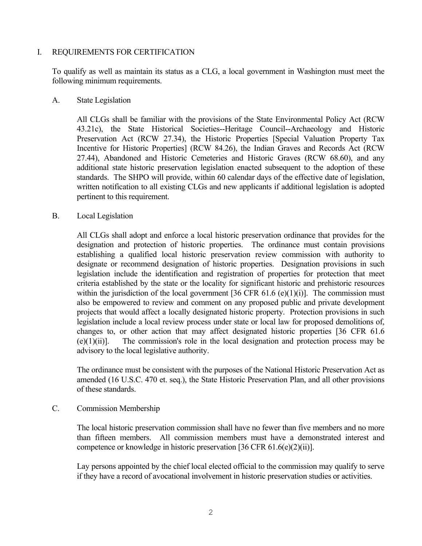### I. REQUIREMENTS FOR CERTIFICATION

 To qualify as well as maintain its status as a CLG, a local government in Washington must meet the following minimum requirements.

#### A. State Legislation

 All CLGs shall be familiar with the provisions of the State Environmental Policy Act (RCW 43.21c), the State Historical Societies--Heritage Council--Archaeology and Historic Preservation Act (RCW 27.34), the Historic Properties [Special Valuation Property Tax Incentive for Historic Properties] (RCW 84.26), the Indian Graves and Records Act (RCW 27.44), Abandoned and Historic Cemeteries and Historic Graves (RCW 68.60), and any additional state historic preservation legislation enacted subsequent to the adoption of these standards. The SHPO will provide, within 60 calendar days of the effective date of legislation, written notification to all existing CLGs and new applicants if additional legislation is adopted pertinent to this requirement.

## B. Local Legislation

 All CLGs shall adopt and enforce a local historic preservation ordinance that provides for the designation and protection of historic properties. The ordinance must contain provisions establishing a qualified local historic preservation review commission with authority to designate or recommend designation of historic properties. Designation provisions in such legislation include the identification and registration of properties for protection that meet criteria established by the state or the locality for significant historic and prehistoric resources within the jurisdiction of the local government  $[36 \text{ CFR } 61.6 \text{ (e)}(1)(i)]$ . The commission must also be empowered to review and comment on any proposed public and private development projects that would affect a locally designated historic property. Protection provisions in such legislation include a local review process under state or local law for proposed demolitions of, changes to, or other action that may affect designated historic properties [36 CFR 61.6 (e)(1)(ii)]. The commission's role in the local designation and protection process may be advisory to the local legislative authority.

 The ordinance must be consistent with the purposes of the National Historic Preservation Act as amended (16 U.S.C. 470 et. seq.), the State Historic Preservation Plan, and all other provisions of these standards.

#### C. Commission Membership

 The local historic preservation commission shall have no fewer than five members and no more than fifteen members. All commission members must have a demonstrated interest and competence or knowledge in historic preservation [36 CFR 61.6(e)(2)(ii)].

 Lay persons appointed by the chief local elected official to the commission may qualify to serve if they have a record of avocational involvement in historic preservation studies or activities.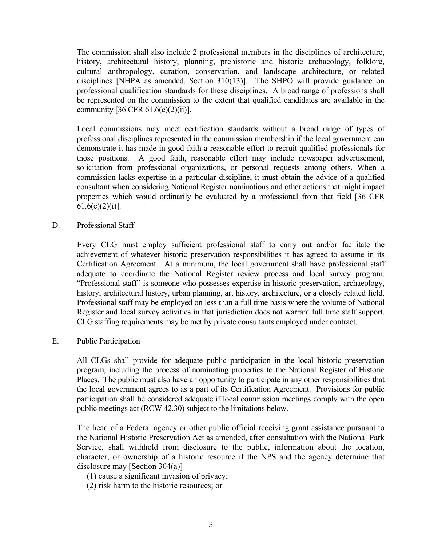The commission shall also include 2 professional members in the disciplines of architecture, history, architectural history, planning, prehistoric and historic archaeology, folklore, cultural anthropology, curation, conservation, and landscape architecture, or related disciplines [NHPA as amended, Section 310(13)]. The SHPO will provide guidance on professional qualification standards for these disciplines. A broad range of professions shall be represented on the commission to the extent that qualified candidates are available in the community  $[36 \text{ CFR } 61.6(e)(2)(ii)].$ 

 Local commissions may meet certification standards without a broad range of types of professional disciplines represented in the commission membership if the local government can demonstrate it has made in good faith a reasonable effort to recruit qualified professionals for those positions. A good faith, reasonable effort may include newspaper advertisement, solicitation from professional organizations, or personal requests among others. When a commission lacks expertise in a particular discipline, it must obtain the advice of a qualified consultant when considering National Register nominations and other actions that might impact properties which would ordinarily be evaluated by a professional from that field [36 CFR  $61.6(e)(2)(i)$ ].

D. Professional Staff

 Every CLG must employ sufficient professional staff to carry out and/or facilitate the achievement of whatever historic preservation responsibilities it has agreed to assume in its Certification Agreement. At a minimum, the local government shall have professional staff adequate to coordinate the National Register review process and local survey program. "Professional staff" is someone who possesses expertise in historic preservation, archaeology, history, architectural history, urban planning, art history, architecture, or a closely related field. Professional staff may be employed on less than a full time basis where the volume of National Register and local survey activities in that jurisdiction does not warrant full time staff support. CLG staffing requirements may be met by private consultants employed under contract.

E. Public Participation

 All CLGs shall provide for adequate public participation in the local historic preservation program, including the process of nominating properties to the National Register of Historic Places. The public must also have an opportunity to participate in any other responsibilities that the local government agrees to as a part of its Certification Agreement. Provisions for public participation shall be considered adequate if local commission meetings comply with the open public meetings act (RCW 42.30) subject to the limitations below.

The head of a Federal agency or other public official receiving grant assistance pursuant to the National Historic Preservation Act as amended, after consultation with the National Park Service, shall withhold from disclosure to the public, information about the location, character, or ownership of a historic resource if the NPS and the agency determine that disclosure may [Section 304(a)]—

(1) cause a significant invasion of privacy;

(2) risk harm to the historic resources; or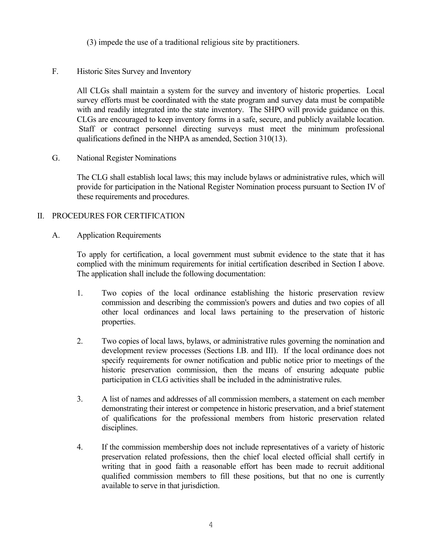- (3) impede the use of a traditional religious site by practitioners.
- F. Historic Sites Survey and Inventory

 All CLGs shall maintain a system for the survey and inventory of historic properties. Local survey efforts must be coordinated with the state program and survey data must be compatible with and readily integrated into the state inventory. The SHPO will provide guidance on this. CLGs are encouraged to keep inventory forms in a safe, secure, and publicly available location. Staff or contract personnel directing surveys must meet the minimum professional qualifications defined in the NHPA as amended, Section 310(13).

G. National Register Nominations

 The CLG shall establish local laws; this may include bylaws or administrative rules, which will provide for participation in the National Register Nomination process pursuant to Section IV of these requirements and procedures.

# II. PROCEDURES FOR CERTIFICATION

A. Application Requirements

 To apply for certification, a local government must submit evidence to the state that it has complied with the minimum requirements for initial certification described in Section I above. The application shall include the following documentation:

- 1. Two copies of the local ordinance establishing the historic preservation review commission and describing the commission's powers and duties and two copies of all other local ordinances and local laws pertaining to the preservation of historic properties.
- 2. Two copies of local laws, bylaws, or administrative rules governing the nomination and development review processes (Sections I.B. and III). If the local ordinance does not specify requirements for owner notification and public notice prior to meetings of the historic preservation commission, then the means of ensuring adequate public participation in CLG activities shall be included in the administrative rules.
- 3. A list of names and addresses of all commission members, a statement on each member demonstrating their interest or competence in historic preservation, and a brief statement of qualifications for the professional members from historic preservation related disciplines.
- 4. If the commission membership does not include representatives of a variety of historic preservation related professions, then the chief local elected official shall certify in writing that in good faith a reasonable effort has been made to recruit additional qualified commission members to fill these positions, but that no one is currently available to serve in that jurisdiction.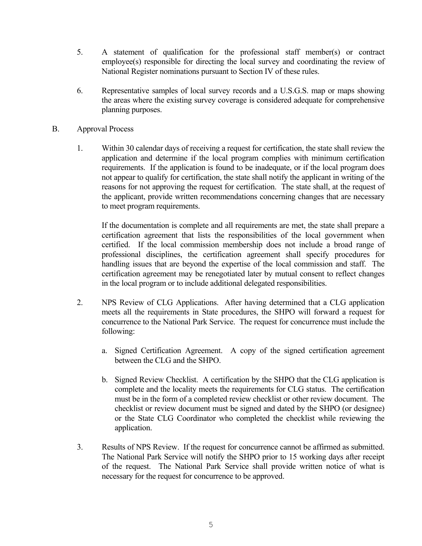- 5. A statement of qualification for the professional staff member(s) or contract employee(s) responsible for directing the local survey and coordinating the review of National Register nominations pursuant to Section IV of these rules.
- 6. Representative samples of local survey records and a U.S.G.S. map or maps showing the areas where the existing survey coverage is considered adequate for comprehensive planning purposes.
- B. Approval Process
	- 1. Within 30 calendar days of receiving a request for certification, the state shall review the application and determine if the local program complies with minimum certification requirements. If the application is found to be inadequate, or if the local program does not appear to qualify for certification, the state shall notify the applicant in writing of the reasons for not approving the request for certification. The state shall, at the request of the applicant, provide written recommendations concerning changes that are necessary to meet program requirements.

 If the documentation is complete and all requirements are met, the state shall prepare a certification agreement that lists the responsibilities of the local government when certified. If the local commission membership does not include a broad range of professional disciplines, the certification agreement shall specify procedures for handling issues that are beyond the expertise of the local commission and staff. The certification agreement may be renegotiated later by mutual consent to reflect changes in the local program or to include additional delegated responsibilities.

- 2. NPS Review of CLG Applications. After having determined that a CLG application meets all the requirements in State procedures, the SHPO will forward a request for concurrence to the National Park Service. The request for concurrence must include the following:
	- a. Signed Certification Agreement. A copy of the signed certification agreement between the CLG and the SHPO.
	- b. Signed Review Checklist. A certification by the SHPO that the CLG application is complete and the locality meets the requirements for CLG status. The certification must be in the form of a completed review checklist or other review document. The checklist or review document must be signed and dated by the SHPO (or designee) or the State CLG Coordinator who completed the checklist while reviewing the application.
- 3. Results of NPS Review. If the request for concurrence cannot be affirmed as submitted. The National Park Service will notify the SHPO prior to 15 working days after receipt of the request. The National Park Service shall provide written notice of what is necessary for the request for concurrence to be approved.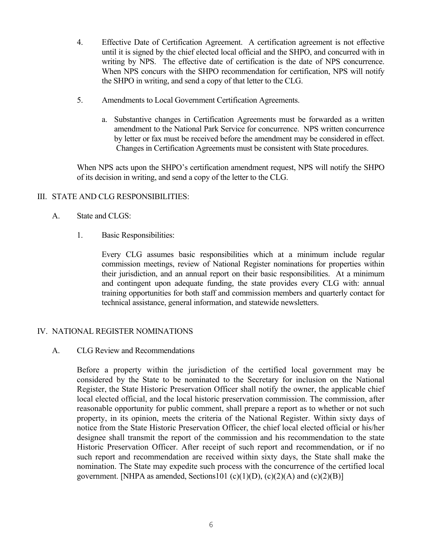- 4. Effective Date of Certification Agreement. A certification agreement is not effective until it is signed by the chief elected local official and the SHPO, and concurred with in writing by NPS. The effective date of certification is the date of NPS concurrence. When NPS concurs with the SHPO recommendation for certification, NPS will notify the SHPO in writing, and send a copy of that letter to the CLG.
- 5. Amendments to Local Government Certification Agreements.
	- a. Substantive changes in Certification Agreements must be forwarded as a written amendment to the National Park Service for concurrence. NPS written concurrence by letter or fax must be received before the amendment may be considered in effect. Changes in Certification Agreements must be consistent with State procedures.

 When NPS acts upon the SHPO's certification amendment request, NPS will notify the SHPO of its decision in writing, and send a copy of the letter to the CLG.

## III. STATE AND CLG RESPONSIBILITIES:

- A. State and CLGS:
	- 1. Basic Responsibilities:

 Every CLG assumes basic responsibilities which at a minimum include regular commission meetings, review of National Register nominations for properties within their jurisdiction, and an annual report on their basic responsibilities. At a minimum and contingent upon adequate funding, the state provides every CLG with: annual training opportunities for both staff and commission members and quarterly contact for technical assistance, general information, and statewide newsletters.

# IV. NATIONAL REGISTER NOMINATIONS

A. CLG Review and Recommendations

Before a property within the jurisdiction of the certified local government may be considered by the State to be nominated to the Secretary for inclusion on the National Register, the State Historic Preservation Officer shall notify the owner, the applicable chief local elected official, and the local historic preservation commission. The commission, after reasonable opportunity for public comment, shall prepare a report as to whether or not such property, in its opinion, meets the criteria of the National Register. Within sixty days of notice from the State Historic Preservation Officer, the chief local elected official or his/her designee shall transmit the report of the commission and his recommendation to the state Historic Preservation Officer. After receipt of such report and recommendation, or if no such report and recommendation are received within sixty days, the State shall make the nomination. The State may expedite such process with the concurrence of the certified local government. [NHPA as amended, Sections101 (c)(1)(D), (c)(2)(A) and (c)(2)(B)]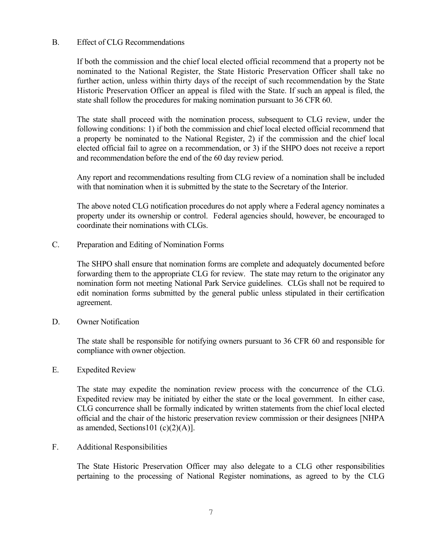### B. Effect of CLG Recommendations

If both the commission and the chief local elected official recommend that a property not be nominated to the National Register, the State Historic Preservation Officer shall take no further action, unless within thirty days of the receipt of such recommendation by the State Historic Preservation Officer an appeal is filed with the State. If such an appeal is filed, the state shall follow the procedures for making nomination pursuant to 36 CFR 60.

 The state shall proceed with the nomination process, subsequent to CLG review, under the following conditions: 1) if both the commission and chief local elected official recommend that a property be nominated to the National Register, 2) if the commission and the chief local elected official fail to agree on a recommendation, or 3) if the SHPO does not receive a report and recommendation before the end of the 60 day review period.

 Any report and recommendations resulting from CLG review of a nomination shall be included with that nomination when it is submitted by the state to the Secretary of the Interior.

 The above noted CLG notification procedures do not apply where a Federal agency nominates a property under its ownership or control. Federal agencies should, however, be encouraged to coordinate their nominations with CLGs.

C. Preparation and Editing of Nomination Forms

 The SHPO shall ensure that nomination forms are complete and adequately documented before forwarding them to the appropriate CLG for review. The state may return to the originator any nomination form not meeting National Park Service guidelines. CLGs shall not be required to edit nomination forms submitted by the general public unless stipulated in their certification agreement.

D. Owner Notification

 The state shall be responsible for notifying owners pursuant to 36 CFR 60 and responsible for compliance with owner objection.

E. Expedited Review

 The state may expedite the nomination review process with the concurrence of the CLG. Expedited review may be initiated by either the state or the local government. In either case, CLG concurrence shall be formally indicated by written statements from the chief local elected official and the chair of the historic preservation review commission or their designees [NHPA as amended, Sections101 (c) $(2)(A)$ ].

F. Additional Responsibilities

 The State Historic Preservation Officer may also delegate to a CLG other responsibilities pertaining to the processing of National Register nominations, as agreed to by the CLG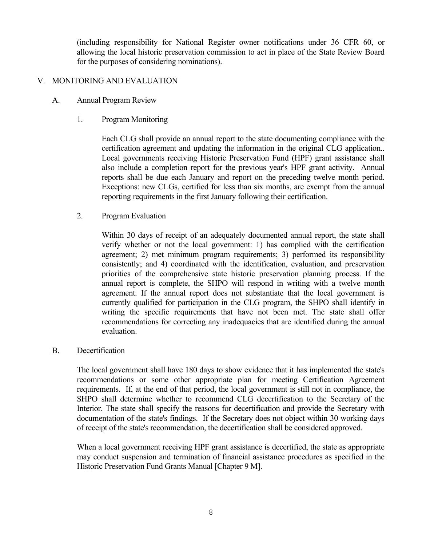(including responsibility for National Register owner notifications under 36 CFR 60, or allowing the local historic preservation commission to act in place of the State Review Board for the purposes of considering nominations).

### V. MONITORING AND EVALUATION

- A. Annual Program Review
	- 1. Program Monitoring

 Each CLG shall provide an annual report to the state documenting compliance with the certification agreement and updating the information in the original CLG application.. Local governments receiving Historic Preservation Fund (HPF) grant assistance shall also include a completion report for the previous year's HPF grant activity. Annual reports shall be due each January and report on the preceding twelve month period. Exceptions: new CLGs, certified for less than six months, are exempt from the annual reporting requirements in the first January following their certification.

2. Program Evaluation

 Within 30 days of receipt of an adequately documented annual report, the state shall verify whether or not the local government: 1) has complied with the certification agreement; 2) met minimum program requirements; 3) performed its responsibility consistently; and 4) coordinated with the identification, evaluation, and preservation priorities of the comprehensive state historic preservation planning process. If the annual report is complete, the SHPO will respond in writing with a twelve month agreement. If the annual report does not substantiate that the local government is currently qualified for participation in the CLG program, the SHPO shall identify in writing the specific requirements that have not been met. The state shall offer recommendations for correcting any inadequacies that are identified during the annual evaluation.

#### B. Decertification

 The local government shall have 180 days to show evidence that it has implemented the state's recommendations or some other appropriate plan for meeting Certification Agreement requirements. If, at the end of that period, the local government is still not in compliance, the SHPO shall determine whether to recommend CLG decertification to the Secretary of the Interior. The state shall specify the reasons for decertification and provide the Secretary with documentation of the state's findings. If the Secretary does not object within 30 working days of receipt of the state's recommendation, the decertification shall be considered approved.

When a local government receiving HPF grant assistance is decertified, the state as appropriate may conduct suspension and termination of financial assistance procedures as specified in the Historic Preservation Fund Grants Manual [Chapter 9 M].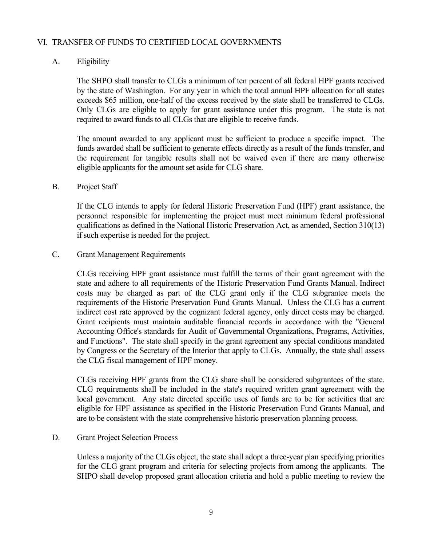## VI. TRANSFER OF FUNDS TO CERTIFIED LOCAL GOVERNMENTS

# A. Eligibility

 The SHPO shall transfer to CLGs a minimum of ten percent of all federal HPF grants received by the state of Washington. For any year in which the total annual HPF allocation for all states exceeds \$65 million, one-half of the excess received by the state shall be transferred to CLGs. Only CLGs are eligible to apply for grant assistance under this program. The state is not required to award funds to all CLGs that are eligible to receive funds.

 The amount awarded to any applicant must be sufficient to produce a specific impact. The funds awarded shall be sufficient to generate effects directly as a result of the funds transfer, and the requirement for tangible results shall not be waived even if there are many otherwise eligible applicants for the amount set aside for CLG share.

#### B. Project Staff

 If the CLG intends to apply for federal Historic Preservation Fund (HPF) grant assistance, the personnel responsible for implementing the project must meet minimum federal professional qualifications as defined in the National Historic Preservation Act, as amended, Section 310(13) if such expertise is needed for the project.

#### C. Grant Management Requirements

 CLGs receiving HPF grant assistance must fulfill the terms of their grant agreement with the state and adhere to all requirements of the Historic Preservation Fund Grants Manual. Indirect costs may be charged as part of the CLG grant only if the CLG subgrantee meets the requirements of the Historic Preservation Fund Grants Manual. Unless the CLG has a current indirect cost rate approved by the cognizant federal agency, only direct costs may be charged. Grant recipients must maintain auditable financial records in accordance with the "General Accounting Office's standards for Audit of Governmental Organizations, Programs, Activities, and Functions". The state shall specify in the grant agreement any special conditions mandated by Congress or the Secretary of the Interior that apply to CLGs. Annually, the state shall assess the CLG fiscal management of HPF money.

 CLGs receiving HPF grants from the CLG share shall be considered subgrantees of the state. CLG requirements shall be included in the state's required written grant agreement with the local government. Any state directed specific uses of funds are to be for activities that are eligible for HPF assistance as specified in the Historic Preservation Fund Grants Manual, and are to be consistent with the state comprehensive historic preservation planning process.

#### D. Grant Project Selection Process

 Unless a majority of the CLGs object, the state shall adopt a three-year plan specifying priorities for the CLG grant program and criteria for selecting projects from among the applicants. The SHPO shall develop proposed grant allocation criteria and hold a public meeting to review the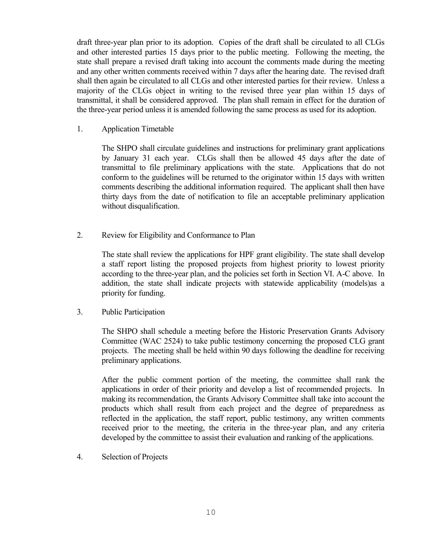draft three-year plan prior to its adoption. Copies of the draft shall be circulated to all CLGs and other interested parties 15 days prior to the public meeting. Following the meeting, the state shall prepare a revised draft taking into account the comments made during the meeting and any other written comments received within 7 days after the hearing date. The revised draft shall then again be circulated to all CLGs and other interested parties for their review. Unless a majority of the CLGs object in writing to the revised three year plan within 15 days of transmittal, it shall be considered approved. The plan shall remain in effect for the duration of the three-year period unless it is amended following the same process as used for its adoption.

1. Application Timetable

 The SHPO shall circulate guidelines and instructions for preliminary grant applications by January 31 each year. CLGs shall then be allowed 45 days after the date of transmittal to file preliminary applications with the state. Applications that do not conform to the guidelines will be returned to the originator within 15 days with written comments describing the additional information required. The applicant shall then have thirty days from the date of notification to file an acceptable preliminary application without disqualification.

2. Review for Eligibility and Conformance to Plan

 The state shall review the applications for HPF grant eligibility. The state shall develop a staff report listing the proposed projects from highest priority to lowest priority according to the three-year plan, and the policies set forth in Section VI. A-C above. In addition, the state shall indicate projects with statewide applicability (models)as a priority for funding.

3. Public Participation

 The SHPO shall schedule a meeting before the Historic Preservation Grants Advisory Committee (WAC 2524) to take public testimony concerning the proposed CLG grant projects. The meeting shall be held within 90 days following the deadline for receiving preliminary applications.

 After the public comment portion of the meeting, the committee shall rank the applications in order of their priority and develop a list of recommended projects. In making its recommendation, the Grants Advisory Committee shall take into account the products which shall result from each project and the degree of preparedness as reflected in the application, the staff report, public testimony, any written comments received prior to the meeting, the criteria in the three-year plan, and any criteria developed by the committee to assist their evaluation and ranking of the applications.

4. Selection of Projects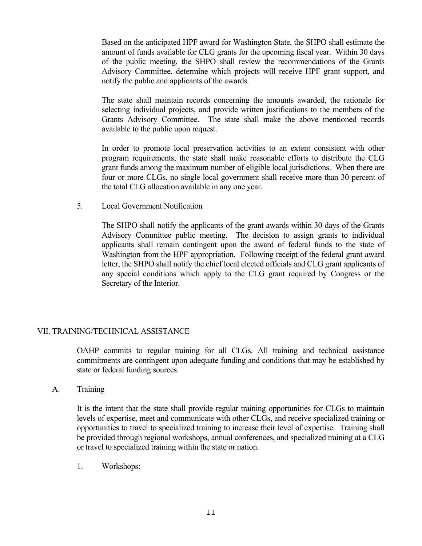Based on the anticipated HPF award for Washington State, the SHPO shall estimate the amount of funds available for CLG grants for the upcoming fiscal year. Within 30 days of the public meeting, the SHPO shall review the recommendations of the Grants Advisory Committee, determine which projects will receive HPF grant support, and notify the public and applicants of the awards.

 The state shall maintain records concerning the amounts awarded, the rationale for selecting individual projects, and provide written justifications to the members of the Grants Advisory Committee. The state shall make the above mentioned records available to the public upon request.

 In order to promote local preservation activities to an extent consistent with other program requirements, the state shall make reasonable efforts to distribute the CLG grant funds among the maximum number of eligible local jurisdictions. When there are four or more CLGs, no single local government shall receive more than 30 percent of the total CLG allocation available in any one year.

5. Local Government Notification

 The SHPO shall notify the applicants of the grant awards within 30 days of the Grants Advisory Committee public meeting. The decision to assign grants to individual applicants shall remain contingent upon the award of federal funds to the state of Washington from the HPF appropriation. Following receipt of the federal grant award letter, the SHPO shall notify the chief local elected officials and CLG grant applicants of any special conditions which apply to the CLG grant required by Congress or the Secretary of the Interior.

#### VII. TRAINING/TECHNICAL ASSISTANCE

 OAHP commits to regular training for all CLGs. All training and technical assistance commitments are contingent upon adequate funding and conditions that may be established by state or federal funding sources.

A. Training

 It is the intent that the state shall provide regular training opportunities for CLGs to maintain levels of expertise, meet and communicate with other CLGs, and receive specialized training or opportunities to travel to specialized training to increase their level of expertise. Training shall be provided through regional workshops, annual conferences, and specialized training at a CLG or travel to specialized training within the state or nation.

1. Workshops: